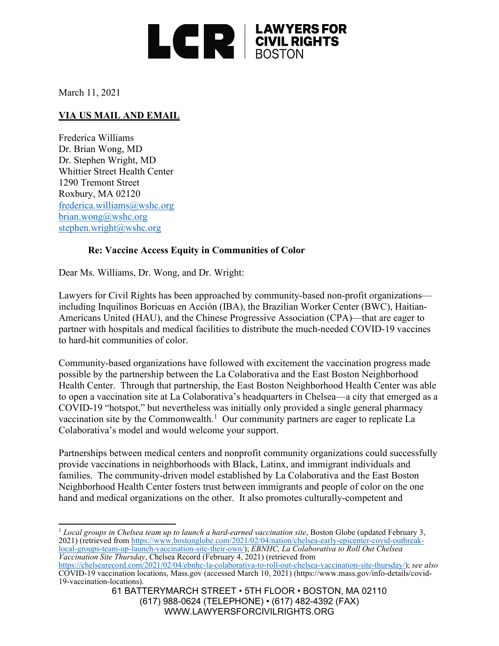

March 11, 2021

## **VIA US MAIL AND EMAIL**

Frederica Williams Dr. Brian Wong, MD Dr. Stephen Wright, MD Whittier Street Health Center 1290 Tremont Street Roxbury, MA 02120 [frederica.williams@wshc.org](mailto:frederica.williams@wshc.org) [brian.wong@wshc.org](mailto:brian.wong@wshc.org) [stephen.wright@wshc.org](mailto:stephen.wright@wshc.org)

## **Re: Vaccine Access Equity in Communities of Color**

Dear Ms. Williams, Dr. Wong, and Dr. Wright:

Lawyers for Civil Rights has been approached by community-based non-profit organizations including Inquilinos Boricuas en Acción (IBA), the Brazilian Worker Center (BWC), Haitian-Americans United (HAU), and the Chinese Progressive Association (CPA)—that are eager to partner with hospitals and medical facilities to distribute the much-needed COVID-19 vaccines to hard-hit communities of color.

Community-based organizations have followed with excitement the vaccination progress made possible by the partnership between the La Colaborativa and the East Boston Neighborhood Health Center. Through that partnership, the East Boston Neighborhood Health Center was able to open a vaccination site at La Colaborativa's headquarters in Chelsea—a city that emerged as a COVID-19 "hotspot," but nevertheless was initially only provided a single general pharmacy vaccination site by the Commonwealth.<sup>[1](#page-0-0)</sup> Our community partners are eager to replicate La Colaborativa's model and would welcome your support.

Partnerships between medical centers and nonprofit community organizations could successfully provide vaccinations in neighborhoods with Black, Latinx, and immigrant individuals and families. The community-driven model established by La Colaborativa and the East Boston Neighborhood Health Center fosters trust between immigrants and people of color on the one hand and medical organizations on the other. It also promotes culturally-competent and

<span id="page-0-0"></span><sup>1</sup> *Local groups in Chelsea team up to launch a hard-earned vaccination site*, Boston Globe (updated February 3, 2021) (retrieved from [https://www.bostonglobe.com/2021/02/04/nation/chelsea-early-epicenter-covid-outbreak](https://www.bostonglobe.com/2021/02/04/nation/chelsea-early-epicenter-covid-outbreak-local-groups-team-up-launch-vaccination-site-their-own/)[local-groups-team-up-launch-vaccination-site-their-own/\)](https://www.bostonglobe.com/2021/02/04/nation/chelsea-early-epicenter-covid-outbreak-local-groups-team-up-launch-vaccination-site-their-own/); *EBNHC, La Colaborativa to Roll Out Chelsea Vaccination Site Thursday*, Chelsea Record (February 4, 2021) (retrieved from

[https://chelsearecord.com/2021/02/04/ebnhc-la-colaborativa-to-roll-out-chelsea-vaccination-site-thursday/\)](https://chelsearecord.com/2021/02/04/ebnhc-la-colaborativa-to-roll-out-chelsea-vaccination-site-thursday/); *see also* COVID-19 vaccination locations, Mass.gov (accessed March 10, 2021) (https://www.mass.gov/info-details/covid- 19-vaccination-locations).